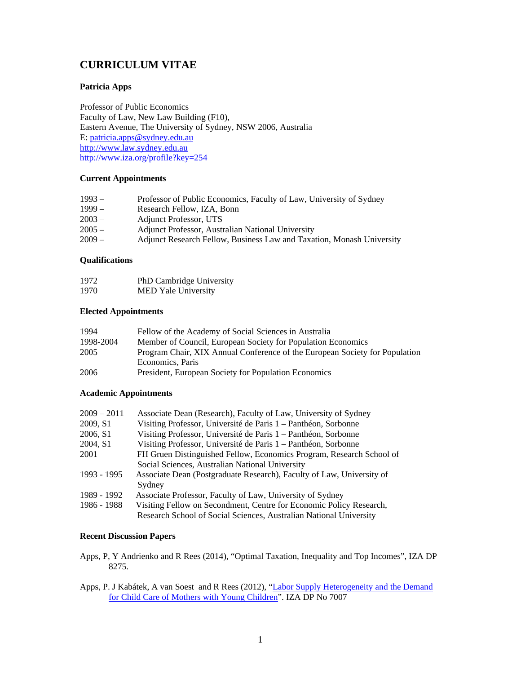# **CURRICULUM VITAE**

## **Patricia Apps**

Professor of Public Economics Faculty of Law, New Law Building (F10), Eastern Avenue, The University of Sydney, NSW 2006, Australia E: patricia.apps@sydney.edu.au http://www.law.sydney.edu.au http://www.iza.org/profile?key=254

## **Current Appointments**

| $1993 -$ | Professor of Public Economics, Faculty of Law, University of Sydney   |
|----------|-----------------------------------------------------------------------|
| $1999-$  | Research Fellow, IZA, Bonn                                            |
| $2003 -$ | Adjunct Professor, UTS                                                |
| $2005 -$ | Adjunct Professor, Australian National University                     |
| $2009 -$ | Adjunct Research Fellow, Business Law and Taxation, Monash University |
|          |                                                                       |

# **Qualifications**

| 1972 | PhD Cambridge University   |
|------|----------------------------|
| 1970 | <b>MED Yale University</b> |

## **Elected Appointments**

| 1994      | Fellow of the Academy of Social Sciences in Australia                       |
|-----------|-----------------------------------------------------------------------------|
| 1998-2004 | Member of Council, European Society for Population Economics                |
| 2005      | Program Chair, XIX Annual Conference of the European Society for Population |
|           | Economics, Paris                                                            |
| 2006      | President, European Society for Population Economics                        |

# **Academic Appointments**

| $2009 - 2011$ | Associate Dean (Research), Faculty of Law, University of Sydney       |
|---------------|-----------------------------------------------------------------------|
| 2009, S1      | Visiting Professor, Université de Paris 1 – Panthéon, Sorbonne        |
| 2006, S1      | Visiting Professor, Université de Paris 1 – Panthéon, Sorbonne        |
| 2004, S1      | Visiting Professor, Université de Paris 1 – Panthéon, Sorbonne        |
| 2001          | FH Gruen Distinguished Fellow, Economics Program, Research School of  |
|               | Social Sciences, Australian National University                       |
| 1993 - 1995   | Associate Dean (Postgraduate Research), Faculty of Law, University of |
|               | Sydney                                                                |
| 1989 - 1992   | Associate Professor, Faculty of Law, University of Sydney             |
| 1986 - 1988   | Visiting Fellow on Secondment, Centre for Economic Policy Research,   |
|               | Research School of Social Sciences, Australian National University    |

## **Recent Discussion Papers**

- Apps, P, Y Andrienko and R Rees (2014), "Optimal Taxation, Inequality and Top Incomes", IZA DP 8275.
- Apps, P. J Kabátek, A van Soest and R Rees (2012), "Labor Supply Heterogeneity and the Demand for Child Care of Mothers with Young Children". IZA DP No 7007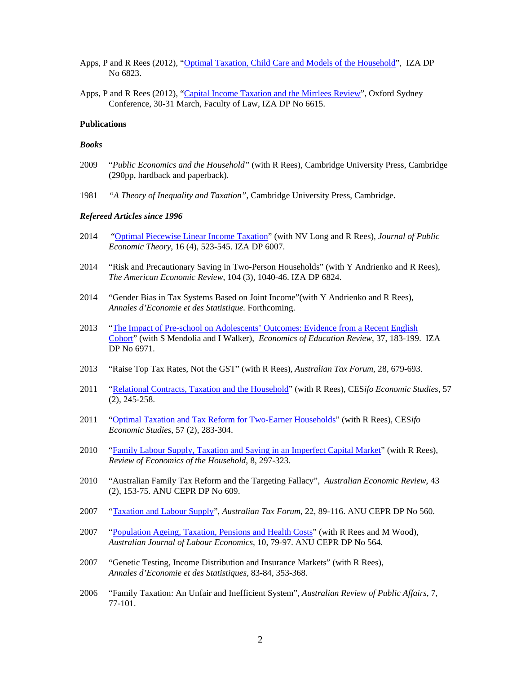- Apps, P and R Rees (2012), "Optimal Taxation, Child Care and Models of the Household", IZA DP No 6823.
- Apps, P and R Rees (2012), "Capital Income Taxation and the Mirrlees Review", Oxford Sydney Conference, 30-31 March, Faculty of Law, IZA DP No 6615.

## **Publications**

#### *Books*

- 2009 "*Public Economics and the Household"* (with R Rees), Cambridge University Press, Cambridge (290pp, hardback and paperback).
- 1981 *"A Theory of Inequality and Taxation"*, Cambridge University Press, Cambridge.

#### *Refereed Articles since 1996*

- 2014 "Optimal Piecewise Linear Income Taxation" (with NV Long and R Rees), *Journal of Public Economic Theory*, 16 (4), 523-545. IZA DP 6007.
- 2014 "Risk and Precautionary Saving in Two-Person Households" (with Y Andrienko and R Rees), *The American Economic Review*, 104 (3), 1040-46. IZA DP 6824.
- 2014 "Gender Bias in Tax Systems Based on Joint Income"(with Y Andrienko and R Rees), *Annales d'Economie et des Statistique.* Forthcoming.
- 2013 "The Impact of Pre-school on Adolescents' Outcomes: Evidence from a Recent English Cohort" (with S Mendolia and I Walker), *Economics of Education Review*, 37, 183-199. IZA DP No 6971.
- 2013 "Raise Top Tax Rates, Not the GST" (with R Rees), *Australian Tax Forum*, 28, 679-693.
- 2011 "Relational Contracts, Taxation and the Household" (with R Rees), CES*ifo Economic Studies*, 57 (2), 245-258.
- 2011 "Optimal Taxation and Tax Reform for Two-Earner Households" (with R Rees), CES*ifo Economic Studies*, 57 (2), 283-304.
- 2010 "Family Labour Supply, Taxation and Saving in an Imperfect Capital Market" (with R Rees), *Review of Economics of the Household*, 8, 297-323.
- 2010 "Australian Family Tax Reform and the Targeting Fallacy", *Australian Economic Review*, 43 (2), 153-75. ANU CEPR DP No 609.
- 2007 "Taxation and Labour Supply", *Australian Tax Forum*, 22, 89-116. ANU CEPR DP No 560.
- 2007 "Population Ageing, Taxation, Pensions and Health Costs" (with R Rees and M Wood), *Australian Journal of Labour Economics*, 10, 79-97. ANU CEPR DP No 564.
- 2007 "Genetic Testing, Income Distribution and Insurance Markets" (with R Rees), *Annales d'Economie et des Statistiques,* 83-84, 353-368.
- 2006 "Family Taxation: An Unfair and Inefficient System", *Australian Review of Public Affairs*, 7, 77-101.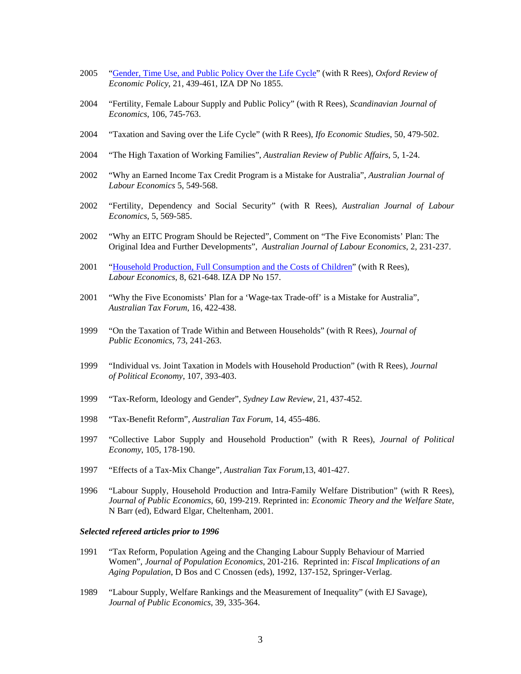- 2005 "Gender, Time Use, and Public Policy Over the Life Cycle" (with R Rees), *Oxford Review of Economic Policy*, 21, 439-461, IZA DP No 1855.
- 2004 "Fertility, Female Labour Supply and Public Policy" (with R Rees), *Scandinavian Journal of Economics*, 106, 745-763.
- 2004 "Taxation and Saving over the Life Cycle" (with R Rees), *Ifo Economic Studies*, 50, 479-502.
- 2004 "The High Taxation of Working Families", *Australian Review of Public Affairs*, 5, 1-24.
- 2002 "Why an Earned Income Tax Credit Program is a Mistake for Australia", *Australian Journal of Labour Economics* 5, 549-568.
- 2002 "Fertility, Dependency and Social Security" (with R Rees), *Australian Journal of Labour Economics*, 5, 569-585.
- 2002 "Why an EITC Program Should be Rejected", Comment on "The Five Economists' Plan: The Original Idea and Further Developments", *Australian Journal of Labour Economics*, 2, 231-237.
- 2001 "Household Production, Full Consumption and the Costs of Children" (with R Rees), *Labour Economics*, 8, 621-648. IZA DP No 157.
- 2001 "Why the Five Economists' Plan for a 'Wage-tax Trade-off' is a Mistake for Australia", *Australian Tax Forum*, 16, 422-438.
- 1999 "On the Taxation of Trade Within and Between Households" (with R Rees), *Journal of Public Economics*, 73, 241-263.
- 1999 "Individual vs. Joint Taxation in Models with Household Production" (with R Rees), *Journal of Political Economy*, 107, 393-403.
- 1999 "Tax-Reform, Ideology and Gender", *Sydney Law Review*, 21, 437-452.
- 1998 "Tax-Benefit Reform", *Australian Tax Forum*, 14, 455-486.
- 1997 "Collective Labor Supply and Household Production" (with R Rees), *Journal of Political Economy*, 105, 178-190.
- 1997 "Effects of a Tax-Mix Change", *Australian Tax Forum*,13, 401-427.
- 1996 "Labour Supply, Household Production and Intra-Family Welfare Distribution" (with R Rees), *Journal of Public Economics*, 60, 199-219. Reprinted in: *Economic Theory and the Welfare State*, N Barr (ed), Edward Elgar, Cheltenham, 2001.

#### *Selected refereed articles prior to 1996*

- 1991 "Tax Reform, Population Ageing and the Changing Labour Supply Behaviour of Married Women", *Journal of Population Economics*, 201-216. Reprinted in: *Fiscal Implications of an Aging Population*, D Bos and C Cnossen (eds), 1992, 137-152, Springer-Verlag.
- 1989 "Labour Supply, Welfare Rankings and the Measurement of Inequality" (with EJ Savage), *Journal of Public Economics*, 39, 335-364.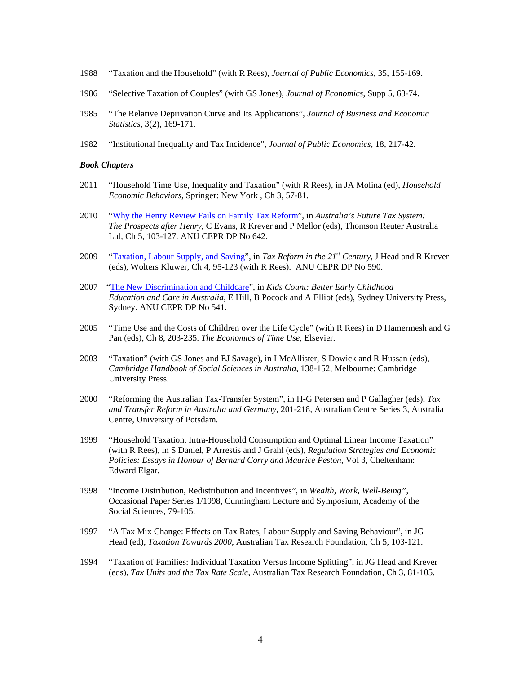- 1988 "Taxation and the Household" (with R Rees), *Journal of Public Economics*, 35, 155-169.
- 1986 "Selective Taxation of Couples" (with GS Jones), *Journal of Economics*, Supp 5, 63-74.
- 1985 "The Relative Deprivation Curve and Its Applications", *Journal of Business and Economic Statistics*, 3(2), 169-171.
- 1982 "Institutional Inequality and Tax Incidence", *Journal of Public Economics*, 18, 217-42.

#### *Book Chapters*

- 2011 "Household Time Use, Inequality and Taxation" (with R Rees), in JA Molina (ed), *Household Economic Behaviors*, Springer: New York , Ch 3, 57-81.
- 2010 "Why the Henry Review Fails on Family Tax Reform", in *Australia's Future Tax System: The Prospects after Henry*, C Evans, R Krever and P Mellor (eds), Thomson Reuter Australia Ltd, Ch 5, 103-127. ANU CEPR DP No 642.
- 2009 "Taxation, Labour Supply, and Saving", in *Tax Reform in the 21st Century*, J Head and R Krever (eds), Wolters Kluwer, Ch 4, 95-123 (with R Rees). ANU CEPR DP No 590.
- 2007 "The New Discrimination and Childcare", in *Kids Count: Better Early Childhood Education and Care in Australia*, E Hill, B Pocock and A Elliot (eds), Sydney University Press, Sydney. ANU CEPR DP No 541.
- 2005 "Time Use and the Costs of Children over the Life Cycle" (with R Rees) in D Hamermesh and G Pan (eds), Ch 8, 203-235. *The Economics of Time Use*, Elsevier.
- 2003 "Taxation" (with GS Jones and EJ Savage), in I McAllister, S Dowick and R Hussan (eds), *Cambridge Handbook of Social Sciences in Australia*, 138-152, Melbourne: Cambridge University Press.
- 2000 "Reforming the Australian Tax-Transfer System", in H-G Petersen and P Gallagher (eds), *Tax and Transfer Reform in Australia and Germany*, 201-218, Australian Centre Series 3, Australia Centre, University of Potsdam.
- 1999 "Household Taxation, Intra-Household Consumption and Optimal Linear Income Taxation" (with R Rees), in S Daniel, P Arrestis and J Grahl (eds), *Regulation Strategies and Economic Policies: Essays in Honour of Bernard Corry and Maurice Peston*, Vol 3, Cheltenham: Edward Elgar.
- 1998 "Income Distribution, Redistribution and Incentives", in *Wealth, Work, Well-Being"*, Occasional Paper Series 1/1998, Cunningham Lecture and Symposium, Academy of the Social Sciences, 79-105.
- 1997 "A Tax Mix Change: Effects on Tax Rates, Labour Supply and Saving Behaviour", in JG Head (ed), *Taxation Towards 2000*, Australian Tax Research Foundation, Ch 5, 103-121.
- 1994 "Taxation of Families: Individual Taxation Versus Income Splitting", in JG Head and Krever (eds), *Tax Units and the Tax Rate Scale*, Australian Tax Research Foundation, Ch 3, 81-105.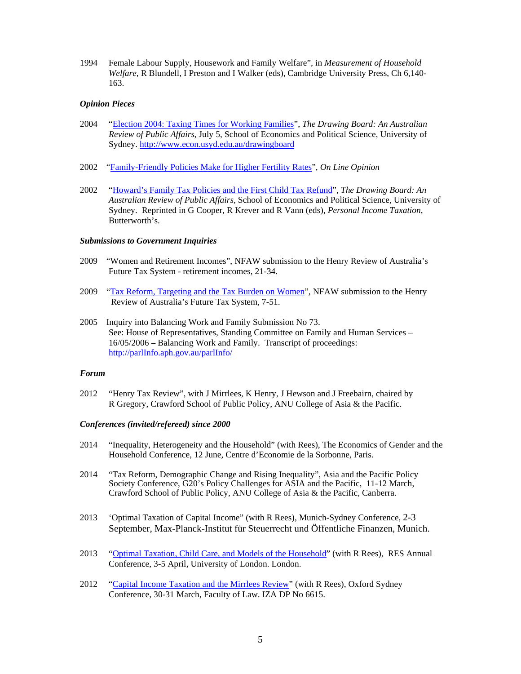1994 Female Labour Supply, Housework and Family Welfare", in *Measurement of Household Welfare*, R Blundell, I Preston and I Walker (eds), Cambridge University Press, Ch 6,140- 163.

## *Opinion Pieces*

- 2004 "Election 2004: Taxing Times for Working Families", *The Drawing Board: An Australian Review of Public Affairs*, July 5, School of Economics and Political Science, University of Sydney. http://www.econ.usyd.edu.au/drawingboard
- 2002 "Family-Friendly Policies Make for Higher Fertility Rates", *On Line Opinion*
- 2002 "Howard's Family Tax Policies and the First Child Tax Refund", *The Drawing Board: An Australian Review of Public Affairs*, School of Economics and Political Science, University of Sydney. Reprinted in G Cooper, R Krever and R Vann (eds), *Personal Income Taxation*, Butterworth's.

## *Submissions to Government Inquiries*

- 2009 "Women and Retirement Incomes", NFAW submission to the Henry Review of Australia's Future Tax System - retirement incomes, 21-34.
- 2009 "Tax Reform, Targeting and the Tax Burden on Women", NFAW submission to the Henry Review of Australia's Future Tax System, 7-51.
- 2005 Inquiry into Balancing Work and Family Submission No 73. See: House of Representatives, Standing Committee on Family and Human Services – 16/05/2006 – Balancing Work and Family. Transcript of proceedings: http://parlInfo.aph.gov.au/parlInfo/

#### *Forum*

2012 "Henry Tax Review", with J Mirrlees, K Henry, J Hewson and J Freebairn, chaired by R Gregory, Crawford School of Public Policy, ANU College of Asia & the Pacific.

#### *Conferences (invited/refereed) since 2000*

- 2014 "Inequality, Heterogeneity and the Household" (with Rees), The Economics of Gender and the Household Conference, 12 June, Centre d'Economie de la Sorbonne, Paris.
- 2014 "Tax Reform, Demographic Change and Rising Inequality", Asia and the Pacific Policy Society Conference, G20's Policy Challenges for ASIA and the Pacific, 11-12 March, Crawford School of Public Policy, ANU College of Asia & the Pacific, Canberra.
- 2013 'Optimal Taxation of Capital Income" (with R Rees), Munich-Sydney Conference, 2-3 September, Max-Planck-Institut für Steuerrecht und Öffentliche Finanzen, Munich.
- 2013 "Optimal Taxation, Child Care, and Models of the Household" (with R Rees), RES Annual Conference, 3-5 April, University of London. London.
- 2012 "Capital Income Taxation and the Mirrlees Review" (with R Rees), Oxford Sydney Conference, 30-31 March, Faculty of Law. IZA DP No 6615.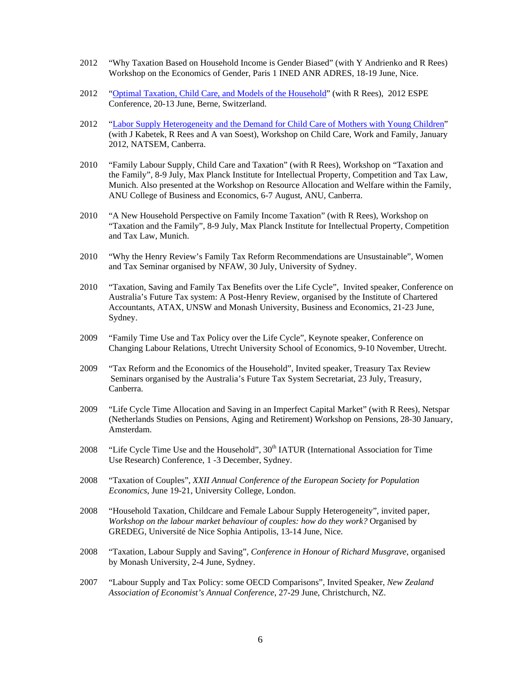- 2012 "Why Taxation Based on Household Income is Gender Biased" (with Y Andrienko and R Rees) Workshop on the Economics of Gender, Paris 1 INED ANR ADRES, 18-19 June, Nice.
- 2012 "Optimal Taxation, Child Care, and Models of the Household" (with R Rees), 2012 ESPE Conference, 20-13 June, Berne, Switzerland.
- 2012 "Labor Supply Heterogeneity and the Demand for Child Care of Mothers with Young Children" (with J Kabetek, R Rees and A van Soest), Workshop on Child Care, Work and Family, January 2012, NATSEM, Canberra.
- 2010 "Family Labour Supply, Child Care and Taxation" (with R Rees), Workshop on "Taxation and the Family", 8-9 July, Max Planck Institute for Intellectual Property, Competition and Tax Law, Munich. Also presented at the Workshop on Resource Allocation and Welfare within the Family, ANU College of Business and Economics, 6-7 August, ANU, Canberra.
- 2010 "A New Household Perspective on Family Income Taxation" (with R Rees), Workshop on "Taxation and the Family", 8-9 July, Max Planck Institute for Intellectual Property, Competition and Tax Law, Munich.
- 2010 "Why the Henry Review's Family Tax Reform Recommendations are Unsustainable", Women and Tax Seminar organised by NFAW, 30 July, University of Sydney.
- 2010 "Taxation, Saving and Family Tax Benefits over the Life Cycle", Invited speaker, Conference on Australia's Future Tax system: A Post-Henry Review, organised by the Institute of Chartered Accountants, ATAX, UNSW and Monash University, Business and Economics, 21-23 June, Sydney.
- 2009 "Family Time Use and Tax Policy over the Life Cycle", Keynote speaker, Conference on Changing Labour Relations, Utrecht University School of Economics, 9-10 November, Utrecht.
- 2009 "Tax Reform and the Economics of the Household", Invited speaker, Treasury Tax Review Seminars organised by the Australia's Future Tax System Secretariat, 23 July, Treasury, Canberra.
- 2009 "Life Cycle Time Allocation and Saving in an Imperfect Capital Market" (with R Rees), Netspar (Netherlands Studies on Pensions, Aging and Retirement) Workshop on Pensions, 28-30 January, Amsterdam.
- 2008 "Life Cycle Time Use and the Household", 30<sup>th</sup> IATUR (International Association for Time Use Research) Conference, 1 -3 December, Sydney.
- 2008 "Taxation of Couples", *XXII Annual Conference of the European Society for Population Economics*, June 19-21, University College, London.
- 2008 "Household Taxation, Childcare and Female Labour Supply Heterogeneity", invited paper, *Workshop on the labour market behaviour of couples: how do they work?* Organised by GREDEG, Université de Nice Sophia Antipolis, 13-14 June, Nice.
- 2008 "Taxation, Labour Supply and Saving", *Conference in Honour of Richard Musgrave*, organised by Monash University, 2-4 June, Sydney.
- 2007 "Labour Supply and Tax Policy: some OECD Comparisons", Invited Speaker, *New Zealand Association of Economist's Annual Conference*, 27-29 June, Christchurch, NZ.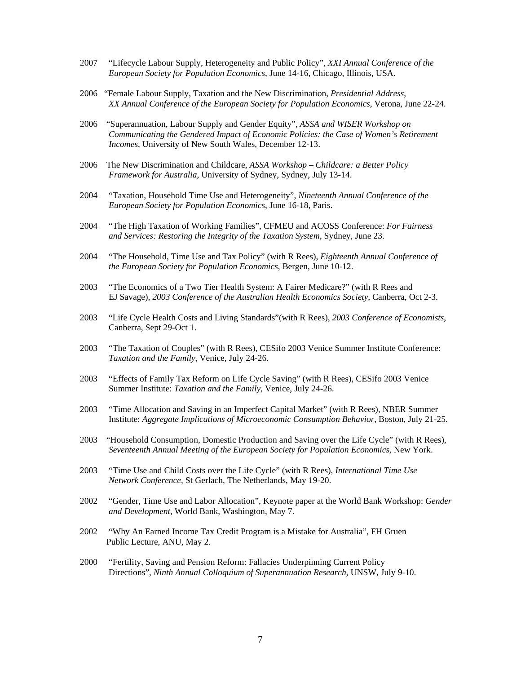- 2007 "Lifecycle Labour Supply, Heterogeneity and Public Policy", *XXI Annual Conference of the European Society for Population Economics*, June 14-16, Chicago, Illinois, USA.
- 2006 "Female Labour Supply, Taxation and the New Discrimination, *Presidential Address*, *XX Annual Conference of the European Society for Population Economics*, Verona, June 22-24.
- 2006 "Superannuation, Labour Supply and Gender Equity", *ASSA and WISER Workshop on Communicating the Gendered Impact of Economic Policies: the Case of Women's Retirement Incomes*, University of New South Wales, December 12-13.
- 2006 The New Discrimination and Childcare, *ASSA Workshop Childcare: a Better Policy Framework for Australia*, University of Sydney, Sydney, July 13-14.
- 2004 "Taxation, Household Time Use and Heterogeneity", *Nineteenth Annual Conference of the European Society for Population Economics*, June 16-18, Paris.
- 2004 "The High Taxation of Working Families", CFMEU and ACOSS Conference: *For Fairness and Services: Restoring the Integrity of the Taxation System*, Sydney, June 23.
- 2004 "The Household, Time Use and Tax Policy" (with R Rees), *Eighteenth Annual Conference of the European Society for Population Economics*, Bergen, June 10-12.
- 2003 "The Economics of a Two Tier Health System: A Fairer Medicare?" (with R Rees and EJ Savage), *2003 Conference of the Australian Health Economics Society*, Canberra, Oct 2-3.
- 2003 "Life Cycle Health Costs and Living Standards"(with R Rees), *2003 Conference of Economists*, Canberra, Sept 29-Oct 1.
- 2003 "The Taxation of Couples" (with R Rees), CESifo 2003 Venice Summer Institute Conference: *Taxation and the Family*, Venice, July 24-26.
- 2003 "Effects of Family Tax Reform on Life Cycle Saving" (with R Rees), CESifo 2003 Venice Summer Institute: *Taxation and the Family*, Venice, July 24-26.
- 2003 "Time Allocation and Saving in an Imperfect Capital Market" (with R Rees), NBER Summer Institute: *Aggregate Implications of Microeconomic Consumption Behavior*, Boston, July 21-25.
- 2003 "Household Consumption, Domestic Production and Saving over the Life Cycle" (with R Rees), *Seventeenth Annual Meeting of the European Society for Population Economics,* New York.
- 2003 "Time Use and Child Costs over the Life Cycle" (with R Rees), *International Time Use Network Conference*, St Gerlach, The Netherlands, May 19-20.
- 2002 "Gender, Time Use and Labor Allocation", Keynote paper at the World Bank Workshop: *Gender and Development*, World Bank, Washington, May 7.
- 2002 "Why An Earned Income Tax Credit Program is a Mistake for Australia", FH Gruen Public Lecture, ANU, May 2.
- 2000 "Fertility, Saving and Pension Reform: Fallacies Underpinning Current Policy Directions", *Ninth Annual Colloquium of Superannuation Research*, UNSW, July 9-10.